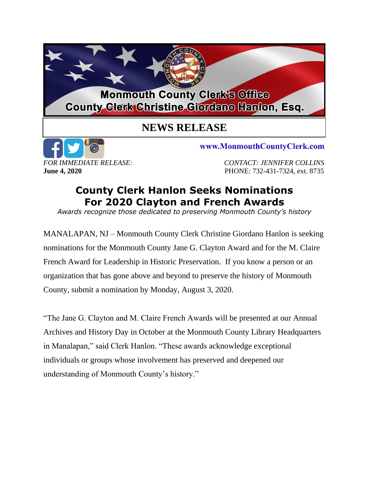## **Monmouth County Clerk's Office County Clerk Christine Giordano Hanlon, Esq.**

## **NEWS RELEASE**



www.MonmouthCountyClerk.com

*FOR IMMEDIATE RELEASE: CONTACT: JENNIFER COLLINS* **June 4, 2020 PHONE: 732-431-7324, ext. 8735** 

## **County Clerk Hanlon Seeks Nominations For 2020 Clayton and French Awards**

*Awards recognize those dedicated to preserving Monmouth County's history*

MANALAPAN, NJ – Monmouth County Clerk Christine Giordano Hanlon is seeking nominations for the Monmouth County Jane G. Clayton Award and for the M. Claire French Award for Leadership in Historic Preservation. If you know a person or an organization that has gone above and beyond to preserve the history of Monmouth County, submit a nomination by Monday, August 3, 2020.

"The Jane G. Clayton and M. Claire French Awards will be presented at our Annual Archives and History Day in October at the Monmouth County Library Headquarters in Manalapan," said Clerk Hanlon. "These awards acknowledge exceptional individuals or groups whose involvement has preserved and deepened our understanding of Monmouth County's history."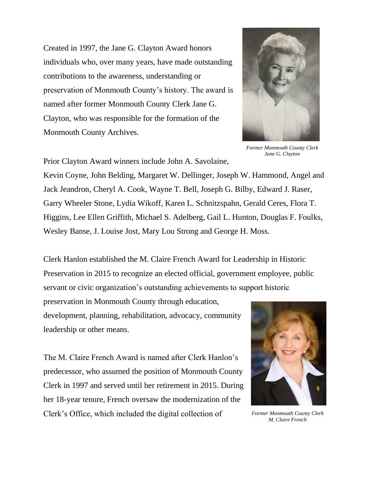Created in 1997, the Jane G. Clayton Award honors individuals who, over many years, have made outstanding contributions to the awareness, understanding or preservation of Monmouth County's history. The award is named after former Monmouth County Clerk Jane G. Clayton, who was responsible for the formation of the Monmouth County Archives.



*Former Monmouth County Clerk Jane G. Clayton*

Prior Clayton Award winners include John A. Savolaine,

Kevin Coyne, John Belding, Margaret W. Dellinger, Joseph W. Hammond, Angel and Jack Jeandron, Cheryl A. Cook, Wayne T. Bell, Joseph G. Bilby, Edward J. Raser, Garry Wheeler Stone, Lydia Wikoff, Karen L. Schnitzspahn, Gerald Ceres, Flora T. Higgins, Lee Ellen Griffith, Michael S. Adelberg, Gail L. Hunton, Douglas F. Foulks, Wesley Banse, J. Louise Jost, Mary Lou Strong and George H. Moss.

Clerk Hanlon established the M. Claire French Award for Leadership in Historic Preservation in 2015 to recognize an elected official, government employee, public servant or civic organization's outstanding achievements to support historic

preservation in Monmouth County through education, development, planning, rehabilitation, advocacy, community leadership or other means.

The M. Claire French Award is named after Clerk Hanlon's predecessor, who assumed the position of Monmouth County Clerk in 1997 and served until her retirement in 2015. During her 18-year tenure, French oversaw the modernization of the Clerk's Office, which included the digital collection of



*Former Monmouth County Clerk M. Claire French*